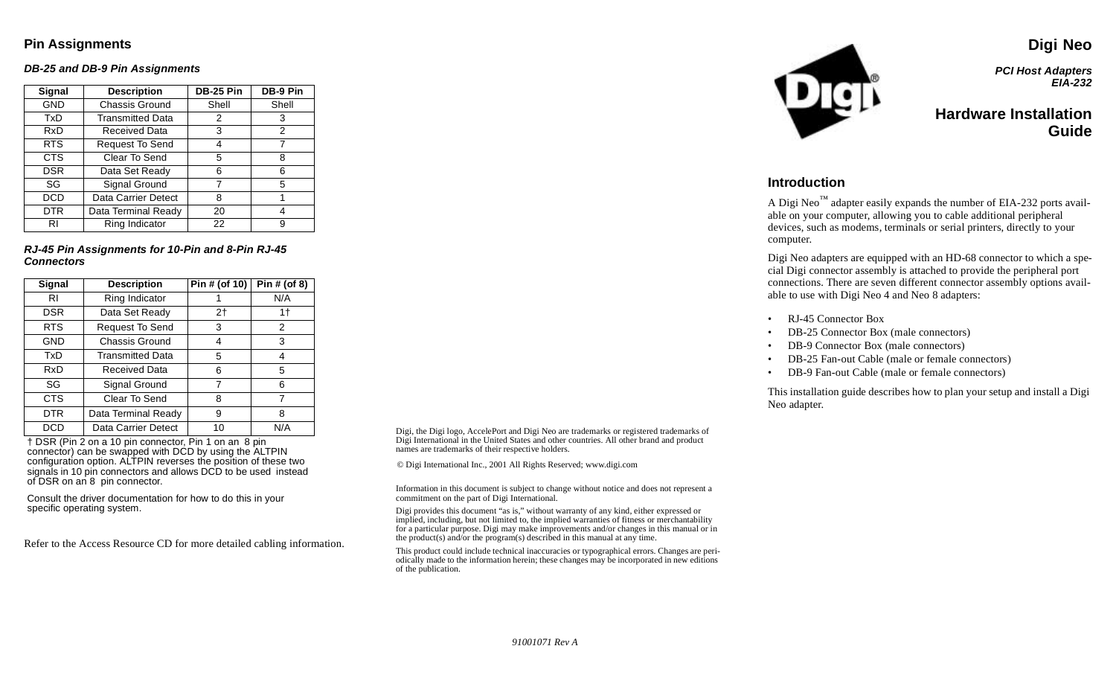### **Pin Assignments**

#### **DB-25 and DB-9 Pin Assignments**

| Signal     | <b>Description</b>         | <b>DB-25 Pin</b> | DB-9 Pin |  |
|------------|----------------------------|------------------|----------|--|
| <b>GND</b> | Chassis Ground             | Shell            | Shell    |  |
| TxD        | <b>Transmitted Data</b>    | 2                | 3        |  |
| RxD        | Received Data              | 3                | 2        |  |
| RTS.       | Request To Send            | 4                | 7        |  |
| <b>CTS</b> | Clear To Send              | 5                | 8        |  |
| <b>DSR</b> | Data Set Ready             | 6                | 6        |  |
| SG         | Signal Ground              |                  | 5        |  |
| DCD        | <b>Data Carrier Detect</b> | 8                |          |  |
| <b>DTR</b> | Data Terminal Ready        | 20               |          |  |
| RI         | Ring Indicator             | 22               | я        |  |

**RJ-45 Pin Assignments for 10-Pin and 8-Pin RJ-45 Connectors**

| Signal     | <b>Description</b>      | Pin # (of 10) | Pin # (of 8) |
|------------|-------------------------|---------------|--------------|
| RI         | Ring Indicator          |               | N/A          |
| <b>DSR</b> | Data Set Ready          | 2†            | 1†           |
| <b>RTS</b> | Request To Send         | 3             | 2            |
| GND        | <b>Chassis Ground</b>   | 4             | 3            |
| TxD        | <b>Transmitted Data</b> | 5             | 4            |
| RxD        | <b>Received Data</b>    | 6             | 5            |
| SG         | Signal Ground           | 7             | 6            |
| <b>CTS</b> | Clear To Send           | 8             | 7            |
| DTR        | Data Terminal Ready     | 9             | 8            |
| DCD        | Data Carrier Detect     | 10            | N/A          |

† DSR (Pin 2 on <sup>a</sup> 10 pin connector, Pin 1 on an 8 pin connector) can be swapped with DCD by using the ALTPIN configuration option. ALTPIN reverses the position of these two signals in 10 pin connectors and allows DCD to be used instead of DSR on an 8 pin connector.

Consult the driver documentation for how to do this in your specific operating system.

Refer to the Access Resource CD for more detailed cabling information.

Digi, the Digi logo, AccelePort and Digi Neo are trademarks or registered trademarks of Digi International in the United States and other countries. All other brand and product names are trademarks of their respective holders.

© Digi International Inc., 2001 All Rights Reserved; www.digi.com

Information in this document is subject to change without notice and does not represen<sup>t</sup> <sup>a</sup> commitment on the par<sup>t</sup> of Digi International.

Digi provides this document "as is," without warranty of any kind, either expressed or implied, including, but not limited to, the implied warranties of fitness or merchantability for <sup>a</sup> particular purpose. Digi may make improvements and/or changes in this manual or in the product(s) and/or the program(s) described in this manual at any time.

This product could include technical inaccuracies or typographical errors. Changes are periodically made to the information herein; these changes may be incorporated in new editions of the publication.



**PCI Host Adapters EIA-232**

**Digi Neo**

### **Hardware InstallationGuide**

### **Introduction**

A Digi Neo<sup>™</sup> adapter easily expands the number of EIA-232 ports available on your computer, allowing you to cable additional peripheral devices, such as modems, terminals or serial printers, directly to your computer.

Digi Neo adapters are equipped with an HD-68 connector to which <sup>a</sup> special Digi connector assembly is attached to provide the peripheral por<sup>t</sup> connections. There are seven different connector assembly options available to use with Digi Neo 4 and Neo 8 adapters:

- •RJ-45 Connector Box
- •DB-25 Connector Box (male connectors)
- •DB-9 Connector Box (male connectors)
- •DB-25 Fan-out Cable (male or female connectors)
- •DB-9 Fan-out Cable (male or female connectors)

This installation guide describes how to plan your setup and install <sup>a</sup> Digi Neo adapter.